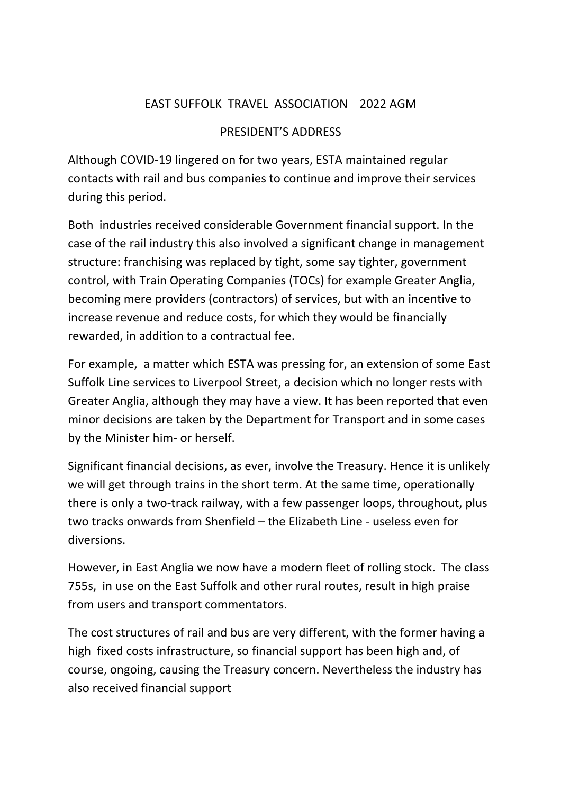## EAST SUFFOLK TRAVEL ASSOCIATION 2022 AGM

## PRESIDENT'S ADDRESS

Although COVID-19 lingered on for two years, ESTA maintained regular contacts with rail and bus companies to continue and improve their services during this period.

Both industries received considerable Government financial support. In the case of the rail industry this also involved a significant change in management structure: franchising was replaced by tight, some say tighter, government control, with Train Operating Companies (TOCs) for example Greater Anglia, becoming mere providers (contractors) of services, but with an incentive to increase revenue and reduce costs, for which they would be financially rewarded, in addition to a contractual fee.

For example, a matter which ESTA was pressing for, an extension of some East Suffolk Line services to Liverpool Street, a decision which no longer rests with Greater Anglia, although they may have a view. It has been reported that even minor decisions are taken by the Department for Transport and in some cases by the Minister him- or herself.

Significant financial decisions, as ever, involve the Treasury. Hence it is unlikely we will get through trains in the short term. At the same time, operationally there is only a two-track railway, with a few passenger loops, throughout, plus two tracks onwards from Shenfield – the Elizabeth Line - useless even for diversions.

However, in East Anglia we now have a modern fleet of rolling stock. The class 755s, in use on the East Suffolk and other rural routes, result in high praise from users and transport commentators.

The cost structures of rail and bus are very different, with the former having a high fixed costs infrastructure, so financial support has been high and, of course, ongoing, causing the Treasury concern. Nevertheless the industry has also received financial support